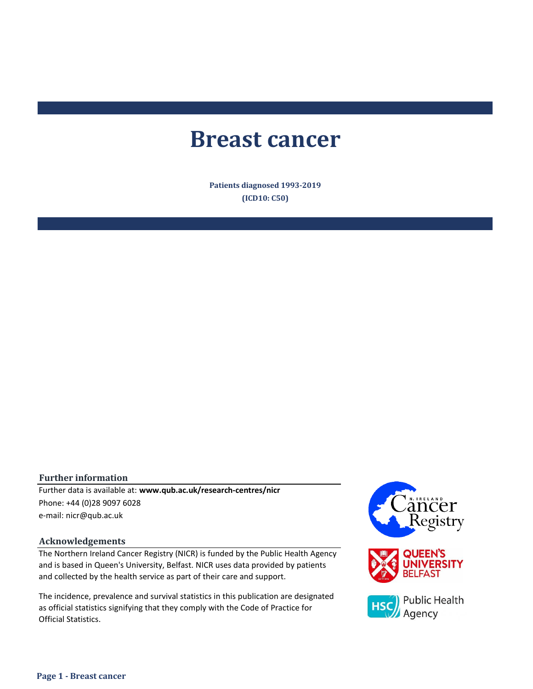# **Breast cancer**

**Patients diagnosed 1993-2019 (ICD10: C50)**

#### **Further information**

e-mail: nicr@qub.ac.uk Further data is available at: **www.qub.ac.uk/research-centres/nicr** Phone: +44 (0)28 9097 6028

#### **Acknowledgements**

The Northern Ireland Cancer Registry (NICR) is funded by the Public Health Agency and is based in Queen's University, Belfast. NICR uses data provided by patients and collected by the health service as part of their care and support.

The incidence, prevalence and survival statistics in this publication are designated as official statistics signifying that they comply with the Code of Practice for Official Statistics.

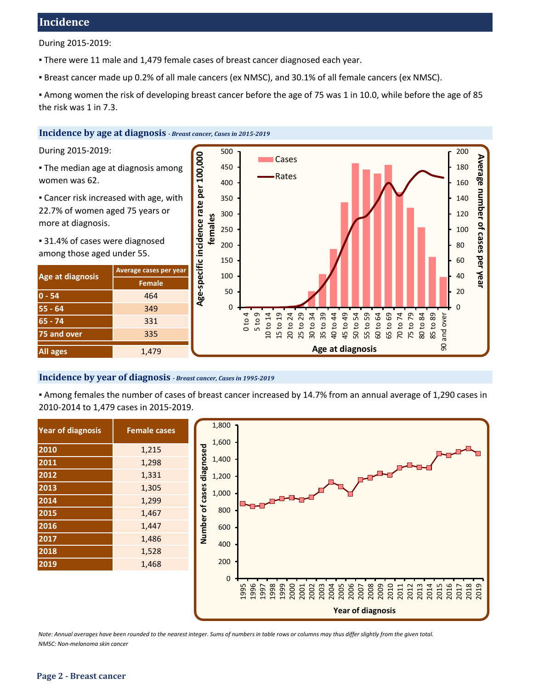# **Incidence**

During 2015-2019:

. There were 11 male and 1,479 female cases of breast cancer diagnosed each year.

▪ Breast cancer made up 0.2% of all male cancers (ex NMSC), and 30.1% of all female cancers (ex NMSC).

▪ Among women the risk of developing breast cancer before the age of 75 was 1 in 10.0, while before the age of 85 the risk was 1 in 7.3.

#### **Incidence by age at diagnosis** *- Breast cancer, Cases in 2015-2019*

During 2015-2019:

- **The median age at diagnosis among** women was 62.
- **Example:** Cancer risk increased with age, with 22.7% of women aged 75 years or more at diagnosis.

■ 31.4% of cases were diagnosed among those aged under 55.

| Age at diagnosis | Average cases per year |  |  |
|------------------|------------------------|--|--|
|                  | <b>Female</b>          |  |  |
| $0 - 54$         | 464                    |  |  |
| $55 - 64$        | 349                    |  |  |
| $65 - 74$        | 331                    |  |  |
| 75 and over      | 335                    |  |  |
| <b>All ages</b>  | 1,479                  |  |  |



#### **Incidence by year of diagnosis** *- Breast cancer, Cases in 1995-2019*

▪ Among females the number of cases of breast cancer increased by 14.7% from an annual average of 1,290 cases in 2010-2014 to 1,479 cases in 2015-2019.

| <b>Year of diagnosis</b> | <b>Female cases</b> |
|--------------------------|---------------------|
| 2010                     | 1,215               |
| 2011                     | 1,298               |
| 2012                     | 1,331               |
| 2013                     | 1,305               |
| 2014                     | 1,299               |
| 2015                     | 1,467               |
| 2016                     | 1,447               |
| 2017                     | 1,486               |
| 2018                     | 1,528               |
| 2019                     | 1,468               |



*Note: Annual averages have been rounded to the nearest integer. Sums of numbers in table rows or columns may thus differ slightly from the given total. NMSC: Non-melanoma skin cancer*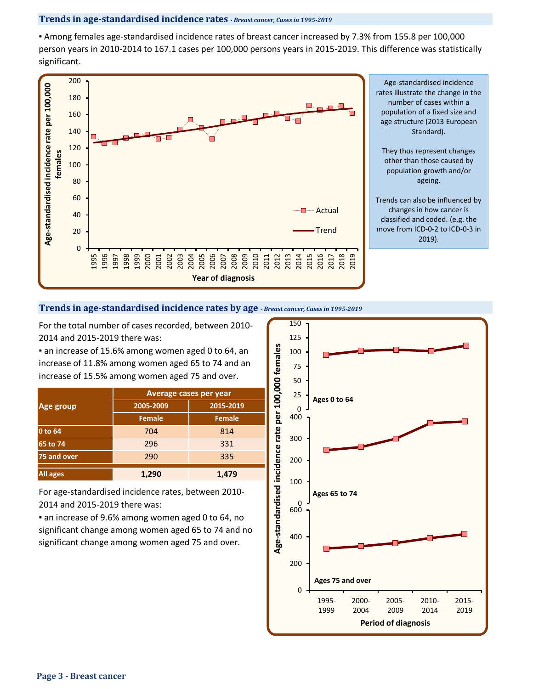#### **Trends in age-standardised incidence rates** *- Breast cancer, Cases in 1995-2019*

▪ Among females age-standardised incidence rates of breast cancer increased by 7.3% from 155.8 per 100,000 person years in 2010-2014 to 167.1 cases per 100,000 persons years in 2015-2019. This difference was statistically significant.



#### **Trends in age-standardised incidence rates by age** *- Breast cancer, Cases in 1995-2019*

For the total number of cases recorded, between 2010- 2014 and 2015-2019 there was:

**Example 2 in 2018 15.6% among women aged 0 to 64, an** increase of 11.8% among women aged 65 to 74 and an increase of 15.5% among women aged 75 and over.

|                 | <b>Average cases per year</b> |               |  |  |  |
|-----------------|-------------------------------|---------------|--|--|--|
| Age group       | 2005-2009                     | 2015-2019     |  |  |  |
|                 | <b>Female</b>                 | <b>Female</b> |  |  |  |
| 0 to 64         | 704                           | 814           |  |  |  |
| 65 to 74        | 296                           | 331           |  |  |  |
| 75 and over     | 290                           | 335           |  |  |  |
| <b>All ages</b> | 1,290                         | 1,479         |  |  |  |

For age-standardised incidence rates, between 2010- 2014 and 2015-2019 there was:

**a** an increase of 9.6% among women aged 0 to 64, no significant change among women aged 65 to 74 and no significant change among women aged 75 and over.

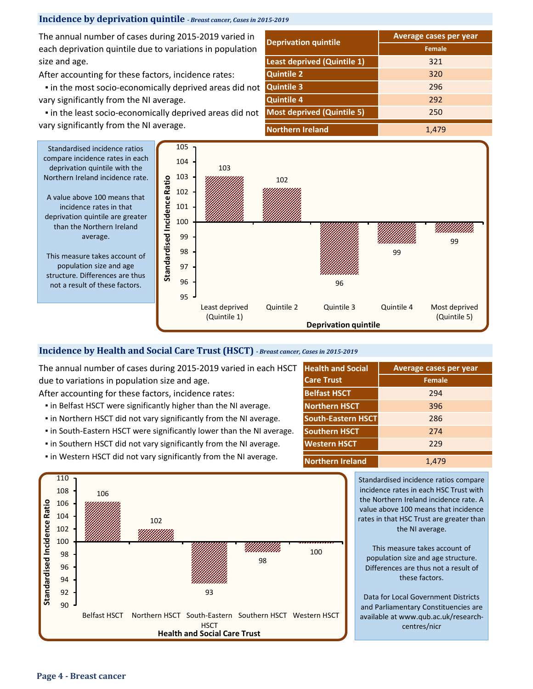# **Incidence by deprivation quintile** *- Breast cancer, Cases in 2015-2019*

The annual number of cases during 2015-2019 varied in each deprivation quintile due to variations in population size and age.

After accounting for these factors, incidence rates:

 ▪ in the most socio-economically deprived areas did not vary significantly from the NI average.

 ▪ in the least socio-economically deprived areas did not vary significantly from the NI average.

|                                   | Average cases per year |  |  |  |
|-----------------------------------|------------------------|--|--|--|
| <b>Deprivation quintile</b>       | <b>Female</b>          |  |  |  |
| Least deprived (Quintile 1)       | 321                    |  |  |  |
| <b>Quintile 2</b>                 | 320                    |  |  |  |
| <b>Quintile 3</b>                 | 296                    |  |  |  |
| <b>Quintile 4</b>                 | 292                    |  |  |  |
| <b>Most deprived (Quintile 5)</b> | 250                    |  |  |  |
| <b>Northern Ireland</b>           | 1,479                  |  |  |  |



A value above 100 means that incidence rates in that deprivation quintile are greater than the Northern Ireland average.

This measure takes account of population size and age structure. Differences are thus not a result of these factors.



#### **Incidence by Health and Social Care Trust (HSCT)** *- Breast cancer, Cases in 2015-2019*

The annual number of cases during 2015-2019 varied in each HSCT due to variations in population size and age.

After accounting for these factors, incidence rates:

- **.** in Belfast HSCT were significantly higher than the NI average.
- **.** in Northern HSCT did not vary significantly from the NI average.
- **.** in South-Eastern HSCT were significantly lower than the NI average.
- in Southern HSCT did not vary significantly from the NI average.
- **.** in Western HSCT did not vary significantly from the NI average.

| <b>Health and Social</b>  | Average cases per year |  |  |  |  |
|---------------------------|------------------------|--|--|--|--|
| <b>Care Trust</b>         | <b>Female</b>          |  |  |  |  |
| <b>Belfast HSCT</b>       | 294                    |  |  |  |  |
| <b>Northern HSCT</b>      | 396                    |  |  |  |  |
| <b>South-Eastern HSCT</b> | 286                    |  |  |  |  |
| <b>Southern HSCT</b>      | 274                    |  |  |  |  |
| <b>Western HSCT</b>       | 229                    |  |  |  |  |
| <b>Northern Ireland</b>   | 1,479                  |  |  |  |  |



Standardised incidence ratios compare incidence rates in each HSC Trust with the Northern Ireland incidence rate. A value above 100 means that incidence rates in that HSC Trust are greater than the NI average.

This measure takes account of population size and age structure. Differences are thus not a result of these factors.

Data for Local Government Districts and Parliamentary Constituencies are available at www.qub.ac.uk/researchcentres/nicr

**Page 4 - Breast cancer**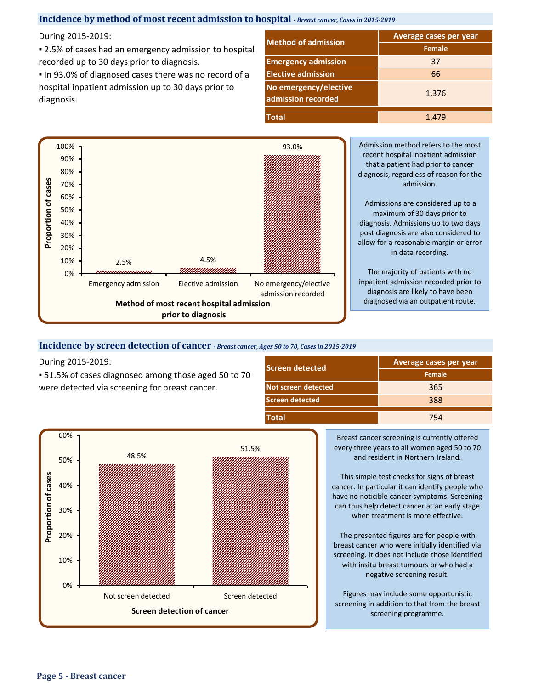### **Incidence by method of most recent admission to hospital** *- Breast cancer, Cases in 2015-2019*

During 2015-2019:

■ 2.5% of cases had an emergency admission to hospital recorded up to 30 days prior to diagnosis.

**.** In 93.0% of diagnosed cases there was no record of a hospital inpatient admission up to 30 days prior to diagnosis.

|                                             | <b>Average cases per year</b> |  |  |  |
|---------------------------------------------|-------------------------------|--|--|--|
| <b>Method of admission</b>                  | <b>Female</b>                 |  |  |  |
| <b>Emergency admission</b>                  | 37                            |  |  |  |
| <b>Elective admission</b>                   | 66                            |  |  |  |
| No emergency/elective<br>admission recorded | 1,376                         |  |  |  |
| <b>Total</b>                                | 1,479                         |  |  |  |



#### **Incidence by screen detection of cancer** *- Breast cancer, Ages 50 to 70, Cases in 2015-2019*

During 2015-2019:

▪ 51.5% of cases diagnosed among those aged 50 to 70 were detected via screening for breast cancer.

| <b>Screen detected</b> | Average cases per year |
|------------------------|------------------------|
|                        | Female                 |
| Not screen detected    | 365                    |
| <b>Screen detected</b> | 388                    |
| <b>Total</b>           | 754                    |



Breast cancer screening is currently offered every three years to all women aged 50 to 70 and resident in Northern Ireland.

This simple test checks for signs of breast cancer. In particular it can identify people who have no noticible cancer symptoms. Screening can thus help detect cancer at an early stage when treatment is more effective.

The presented figures are for people with breast cancer who were initially identified via screening. It does not include those identified with insitu breast tumours or who had a negative screening result.

Figures may include some opportunistic screening in addition to that from the breast screening programme.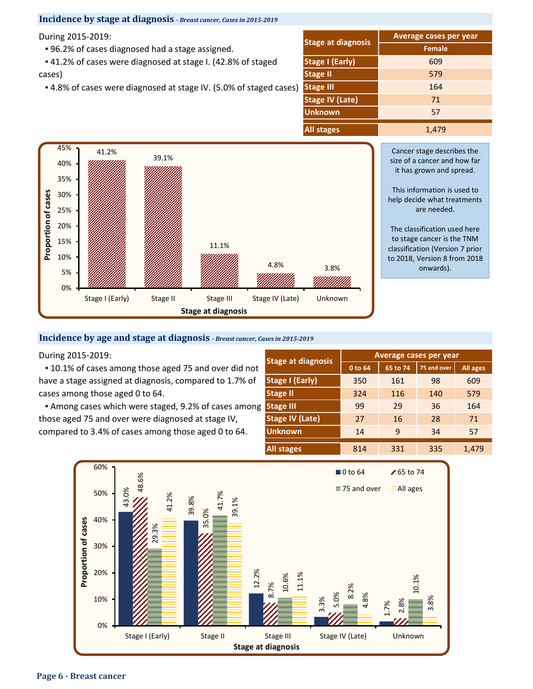#### **Incidence by stage at diagnosis** *- Breast cancer, Cases in 2015-2019*

During 2015-2019:

▪ 96.2% of cases diagnosed had a stage assigned.

 ▪ 41.2% of cases were diagnosed at stage I. (42.8% of staged cases)

▪ 4.8% of cases were diagnosed at stage IV. (5.0% of staged cases)

|                           | <b>Average cases per year</b> |  |  |  |
|---------------------------|-------------------------------|--|--|--|
| <b>Stage at diagnosis</b> | <b>Female</b>                 |  |  |  |
| <b>Stage I (Early)</b>    | 609                           |  |  |  |
| 579<br><b>Stage II</b>    |                               |  |  |  |
| <b>Stage III</b>          | 164                           |  |  |  |
| <b>Stage IV (Late)</b>    | 71                            |  |  |  |
| <b>Unknown</b>            | 57                            |  |  |  |
| <b>All stages</b>         | 1,479                         |  |  |  |



Cancer stage describes the size of a cancer and how far it has grown and spread.

This information is used to help decide what treatments are needed.

The classification used here to stage cancer is the TNM classification (Version 7 prior to 2018, Version 8 from 2018 onwards).

#### **Incidence by age and stage at diagnosis** *- Breast cancer, Cases in 2015-2019*

During 2015-2019: **Average cases per year**

**.** 10.1% of cases among those aged 75 and over did not have a stage assigned at diagnosis, compared to 1.7% of cases among those aged 0 to 64.

**Among cases which were staged, 9.2% of cases among** those aged 75 and over were diagnosed at stage IV, compared to 3.4% of cases among those aged 0 to 64.

| <b>Stage at diagnosis</b> | Average cases per year |          |             |                 |  |  |
|---------------------------|------------------------|----------|-------------|-----------------|--|--|
|                           | 0 to 64                | 65 to 74 | 75 and over | <b>All ages</b> |  |  |
| <b>Stage I (Early)</b>    | 350                    | 161      | 98          | 609             |  |  |
| <b>Stage II</b>           | 324                    | 116      | 140         | 579             |  |  |
| <b>Stage III</b>          | 99                     | 29       | 36          | 164             |  |  |
| <b>Stage IV (Late)</b>    | 27                     | 16       | 28          | 71              |  |  |
| <b>Unknown</b>            | 14                     | 9        | 34          | 57              |  |  |
| <b>All stages</b>         | 814                    | 331      | 335         | 1,479           |  |  |

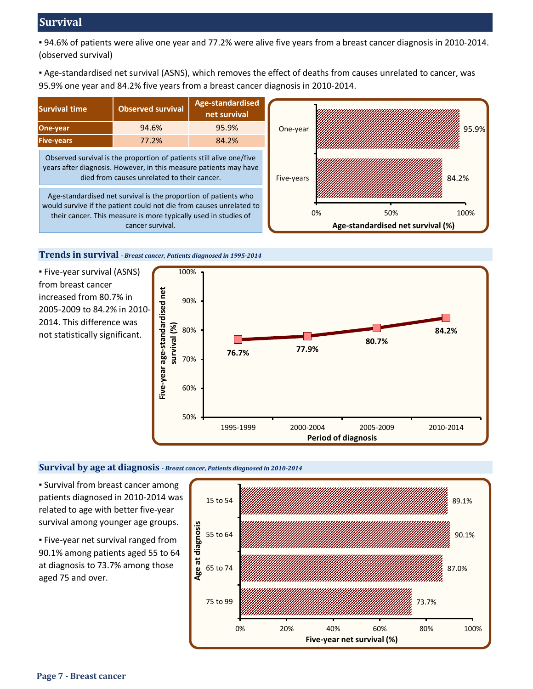# **Survival**

▪ 94.6% of patients were alive one year and 77.2% were alive five years from a breast cancer diagnosis in 2010-2014. (observed survival)

▪ Age-standardised net survival (ASNS), which removes the effect of deaths from causes unrelated to cancer, was 95.9% one year and 84.2% five years from a breast cancer diagnosis in 2010-2014.



**Trends in survival** *- Breast cancer, Patients diagnosed in 1995-2014*

▪ Five-year survival (ASNS) from breast cancer increased from 80.7% in 2005-2009 to 84.2% in 2010- 2014. This difference was not statistically significant.



#### **Survival by age at diagnosis** *- Breast cancer, Patients diagnosed in 2010-2014*

**E** Survival from breast cancer among patients diagnosed in 2010-2014 was related to age with better five-year survival among younger age groups.

**· Five-year net survival ranged from** 90.1% among patients aged 55 to 64 at diagnosis to 73.7% among those aged 75 and over.

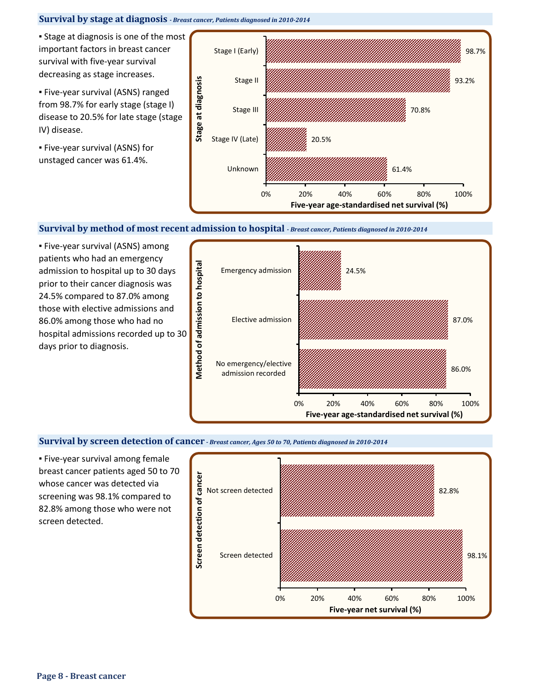## **Survival by stage at diagnosis** *- Breast cancer, Patients diagnosed in 2010-2014*

**• Stage at diagnosis is one of the most** important factors in breast cancer survival with five-year survival decreasing as stage increases.

▪ Five-year survival (ASNS) ranged from 98.7% for early stage (stage I) disease to 20.5% for late stage (stage IV) disease.

▪ Five-year survival (ASNS) for unstaged cancer was 61.4%.



#### **Survival by method of most recent admission to hospital** *- Breast cancer, Patients diagnosed in 2010-2014*

▪ Five-year survival (ASNS) among patients who had an emergency admission to hospital up to 30 days prior to their cancer diagnosis was 24.5% compared to 87.0% among those with elective admissions and 86.0% among those who had no hospital admissions recorded up to 30 days prior to diagnosis.



#### **Survival by screen detection of cancer** *- Breast cancer, Ages 50 to 70, Patients diagnosed in 2010-2014*

**Eive-year survival among female** breast cancer patients aged 50 to 70 whose cancer was detected via screening was 98.1% compared to 82.8% among those who were not screen detected.

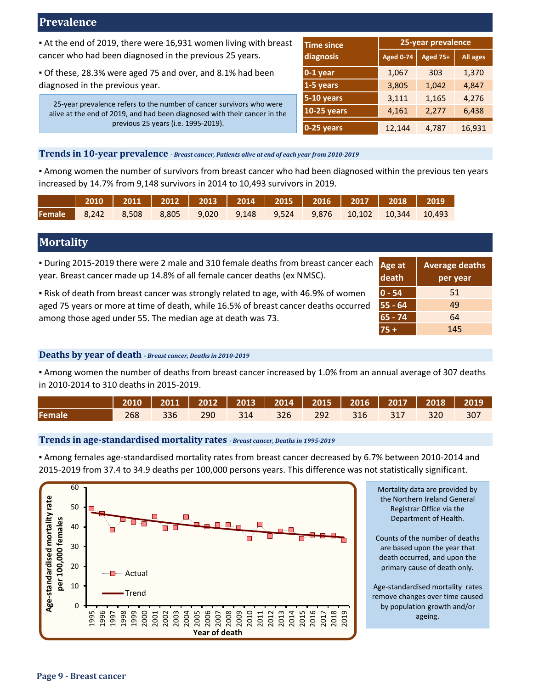# **Prevalence**

▪ At the end of 2019, there were 16,931 women living with breast cancer who had been diagnosed in the previous 25 years.

▪ Of these, 28.3% were aged 75 and over, and 8.1% had been diagnosed in the previous year.

25-year prevalence refers to the number of cancer survivors who were alive at the end of 2019, and had been diagnosed with their cancer in the previous 25 years (i.e. 1995-2019).

| <b>Time since</b>  | 25-year prevalence |                 |          |  |  |
|--------------------|--------------------|-----------------|----------|--|--|
| diagnosis          | <b>Aged 0-74</b>   | <b>Aged 75+</b> | All ages |  |  |
| $0-1$ year         | 1,067              | 303             | 1,370    |  |  |
| 1-5 years          | 3,805              | 1,042           | 4,847    |  |  |
| 5-10 years         | 3,111              | 1,165           | 4,276    |  |  |
| <b>10-25 years</b> | 4,161              | 2,277           | 6,438    |  |  |
| $0-25$ years       | 12,144             | 4,787           | 16,931   |  |  |

## **Trends in 10-year prevalence** *- Breast cancer, Patients alive at end of each year from 2010-2019*

▪ Among women the number of survivors from breast cancer who had been diagnosed within the previous ten years increased by 14.7% from 9,148 survivors in 2014 to 10,493 survivors in 2019.

|  | 2010   2011   2012   2013   2014   2015   2016   2017   2018   2019          |  |  |  |  |
|--|------------------------------------------------------------------------------|--|--|--|--|
|  | <b>Female</b> 8,242 8,508 8,805 9,020 9,148 9,524 9,876 10,102 10,344 10,493 |  |  |  |  |

# **Mortality**

| . During 2015-2019 there were 2 male and 310 female deaths from breast cancer each<br>year. Breast cancer made up 14.8% of all female cancer deaths (ex NMSC). | Age at<br>death | <b>Average deaths</b><br>per year |
|----------------------------------------------------------------------------------------------------------------------------------------------------------------|-----------------|-----------------------------------|
| . Risk of death from breast cancer was strongly related to age, with 46.9% of women                                                                            | $0 - 54$        | 51                                |
| aged 75 years or more at time of death, while 16.5% of breast cancer deaths occurred                                                                           | 55 - 64         | 49                                |
| among those aged under 55. The median age at death was 73.                                                                                                     | $65 - 74$       | 64                                |
|                                                                                                                                                                | $75 +$          | 145                               |

#### **Deaths by year of death** *- Breast cancer, Deaths in 2010-2019*

▪ Among women the number of deaths from breast cancer increased by 1.0% from an annual average of 307 deaths in 2010-2014 to 310 deaths in 2015-2019.

|        | 2010   2011   2012   2013   2014   2015   2016   2017   2018   2019 |  |  |  |                                         |  |
|--------|---------------------------------------------------------------------|--|--|--|-----------------------------------------|--|
| Female |                                                                     |  |  |  | 268 336 290 314 326 292 316 317 320 307 |  |

#### **Trends in age-standardised mortality rates** *- Breast cancer, Deaths in 1995-2019*

▪ Among females age-standardised mortality rates from breast cancer decreased by 6.7% between 2010-2014 and 2015-2019 from 37.4 to 34.9 deaths per 100,000 persons years. This difference was not statistically significant.



Mortality data are provided by the Northern Ireland General Registrar Office via the Department of Health.

Counts of the number of deaths are based upon the year that death occurred, and upon the primary cause of death only.

Age-standardised mortality rates remove changes over time caused by population growth and/or ageing.